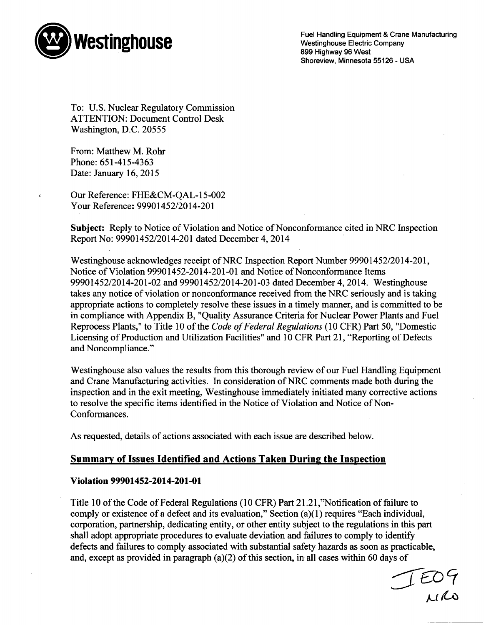

Fuel Handling Equipment & Crane Manufacturing<br> **Pestinghouse** Electric Company<br>
COMEX COMPANY 899 Highway 96 West Shoreview, Minnesota 55126 - USA

To: U.S. Nuclear Regulatory Commission ATTENTION: Document Control Desk Washington, D.C. 20555

From: Matthew M. Rohr Phone: 651-415-4363 Date: January 16, 2015

Our Reference: FHE&CM-()AL-15-002 Your Reference: 99901452/2014-201

Subject: Reply to Notice of Violation and Notice of Nonconformance cited in NRC Inspection Report No: 99901452/2014-201 dated December 4, 2014

Westinghouse acknowledges receipt of NRC Inspection Report Number 99901452/2014-201, Notice of Violation 99901452-2014-201-01 and Notice of Nonconformance Items 99901452/2014-201-02 and 99901452/2014-201-03 dated December 4, 2014. Westinghouse takes any notice of violation or nonconformance received from the NRC seriously and is taking appropriate actions to completely resolve these issues in a timely manner, and is committed to be in compliance with Appendix B, "Quality Assurance Criteria for Nuclear Power Plants and Fuel Reprocess Plants," to Title 10 of the *Code of Federal Regulations* (10 CFR) Part 50, "Domestic Licensing of Production and Utilization Facilities" and 10 CFR Part 21, "Reporting of Defects and Noncompliance."

Westinghouse also values the results from this thorough review of our Fuel Handling Equipment and Crane Manufacturing activities. In consideration of NRC comments made both during the inspection and in the exit meeting, Westinghouse immediately initiated many corrective actions to resolve the specific items identified in the Notice of Violation and Notice of Non-Conformances.

As requested, details of actions associated with each issue are described below.

# Summary of Issues Identified and Actions Taken During the Inspection

## Violation 99901452-2014-201-01

Title 10 of the Code of Federal Regulations (10 CFR) Part 21.21 ,"Notification of failure to comply or existence of a defect and its evaluation," Section (a)(1) requires "Each individual, corporation, partnership, dedicating entity, or other entity subject to the regulations in this part shall adopt appropriate procedures to evaluate deviation and failures to comply to identify defects and failures to comply associated with substantial safety hazards as soon as practicable, and, except as provided in paragraph (a)(2) of this section, in all cases within 60 days of

TEO9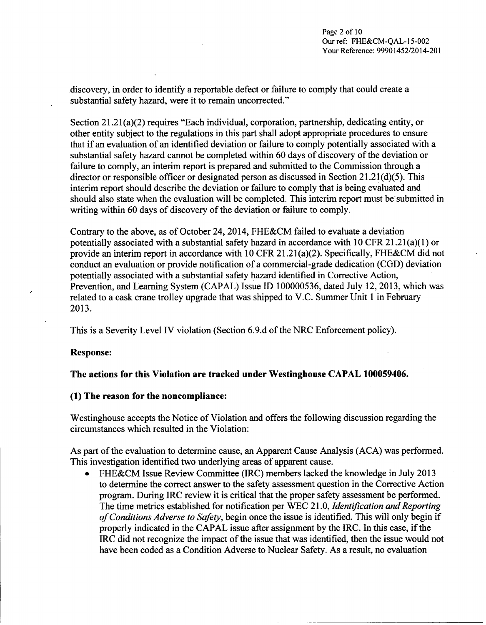discovery, in order to identify a reportable defect or failure to comply that could create a substantial safety hazard, were it to remain uncorrected."

Section 21.21(a)(2) requires "Each individual, corporation, partnership, dedicating entity, or other entity subject to the regulations in this part shall adopt appropriate procedures to ensure that if an evaluation of an identified deviation or failure to comply potentially associated with a substantial safety hazard cannot be completed within 60 days of discovery of the deviation or failure to comply, an interim report is prepared and submitted to the Commission through a director or responsible officer or designated person as discussed in Section 21.21(d)(5). This interim report should describe the deviation or failure to comply that is being evaluated and should also state when the evaluation will be completed. This interim report must be'submitted in writing within 60 days of discovery of the deviation or failure to comply.

Contrary to the above, as of October 24, 2014, FHE&CM failed to evaluate a deviation potentially associated with a substantial safety hazard in accordance with 10 CFR 21.21 (a)(1) or provide an interim report in accordance with 10 CFR 21.21 (a)(2). Specifically, FHE&CM did not conduct an evaluation or provide notification of a commercial-grade dedication (CGD) deviation potentially associated with a substantial safety hazard identified in Corrective Action, Prevention, and Learning System (CAPAL) Issue ID 100000536, dated July 12, 2013, which was related to a cask crane trolley upgrade that was shipped to V.C. Summer Unit 1 in February 2013.

This is a Severity Level IV violation (Section 6.9.d of the NRC Enforcement policy).

### Response:

## The actions for this Violation are tracked under Westinghouse **CAPAL** 100059406.

### **(1)** The reason for the noncompliance:

Westinghouse accepts the Notice of Violation and offers the following discussion regarding the circumstances which resulted in the Violation:

As part of the evaluation to determine cause, an Apparent Cause Analysis (ACA) was performed. This investigation identified two underlying areas of apparent cause.

FHE&CM Issue Review Committee (IRC) members lacked the knowledge in July 2013 to determine the correct answer to the safety assessment question in the Corrective Action program. During IRC review it is critical that the proper safety assessment be performed. The time metrics established for notification per WEC 21.0, *Identification and Reporting of Conditions Adverse to Safety,* begin once the issue is identified. This will only begin if properly indicated in the CAPAL issue after assignment by the IRC. In this case, if the IRC did not recognize the impact of the issue that was identified, then the issue would not have been coded as a Condition Adverse to Nuclear Safety. As a result, no evaluation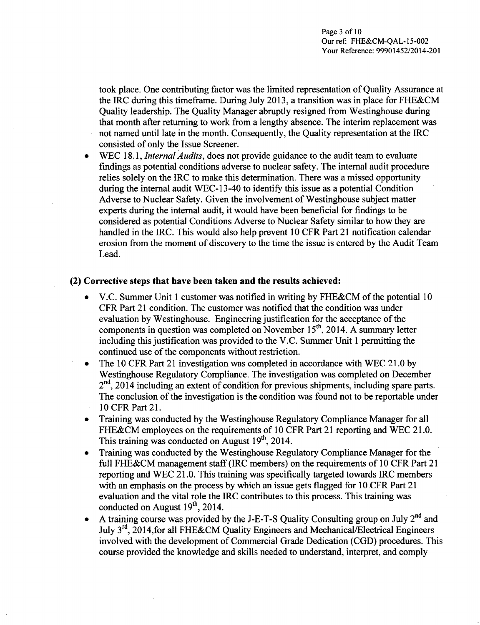took place. One contributing factor was the limited representation of Quality Assurance at the IRC during this timeframe. During July 2013, a transition was in place for FHE&CM Quality leadership. The Quality Manager abruptly resigned from Westinghouse during that month after returning to work from a lengthy absence. The interim replacement was not named until late in the month. Consequently, the Quality representation at the IRC consisted of only the Issue Screener.

\* WEC 18.1, *Internal Audits,* does not provide guidance to the audit team to evaluate findings as potential conditions adverse to nuclear safety. The internal audit procedure relies solely on the IRC to make this determination. There was a missed opportunity during the internal audit WEC-13-40 to identify this issue as a potential Condition Adverse to Nuclear Safety. Given the involvement of Westinghouse subject matter experts during the internal audit, it would have been beneficial for findings to be considered as potential Conditions Adverse to Nuclear Safety similar to how they are handled in the IRC. This would also help prevent 10 CFR Part 21 notification calendar erosion from the moment of discovery to the time the issue is entered by the Audit Team Lead.

### (2) Corrective steps that have been taken and the results achieved:

- **" V.C.** Summer Unit 1 customer was notified in writing by **FHE&CM** of the potential 10 CFR Part 21 condition. The customer was notified that the condition was under evaluation by Westinghouse. Engineering justification for the acceptance of the components in question was completed on November  $15<sup>th</sup>$ , 2014. A summary letter including this justification was provided to the V.C. Summer Unit 1 permitting the continued use of the components without restriction.
- **0** The 10 CFR Part 21 investigation was completed in accordance with WEC 21.0 by Westinghouse Regulatory Compliance. The investigation was completed on December **<sup>2</sup> "d,** 2014 including an extent of condition for previous shipments, including spare parts. The conclusion of the investigation is the condition was found not to be reportable under 10 CFR Part 21.
- Training was conducted by the Westinghouse Regulatory Compliance Manager for all FHE&CM employees on the requirements of 10 CFR Part 21 reporting and WEC 21.0. This training was conducted on August  $19<sup>th</sup>$ , 2014.
- **"** Training was conducted by the Westinghouse Regulatory Compliance Manager for the full FHE&CM management staff (IRC members) on the requirements of 10 CFR Part 21 reporting and WEC 21.0. This training was specifically targeted towards IRC members with an emphasis on the process by which an issue gets flagged for 10 CFR Part 21 evaluation and the vital role the IRC contributes to this process. This training was conducted on August  $19<sup>th</sup>$ , 2014.
- **"** A training course was provided by the J-E-T-S Quality Consulting group on July 2nd and July 3rd, 2014,for all FHE&CM Quality Engineers and Mechanical/Electrical Engineers involved with the development of Commercial Grade Dedication (CGD) procedures. This course provided the knowledge and skills needed to understand, interpret, and comply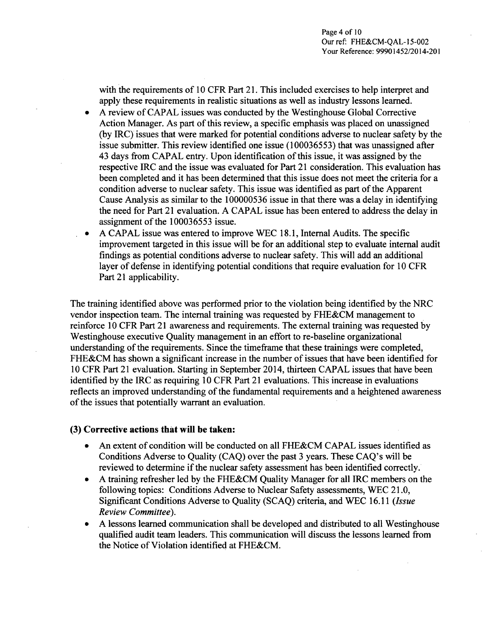with the requirements of 10 CFR Part 21. This included exercises to help interpret and apply these requirements in realistic situations as well as industry lessons learned.

- **\*** A review of CAPAL issues was conducted by the Westinghouse Global Corrective Action Manager. As part of this review, a specific emphasis was placed on unassigned (by IRC) issues that were marked for potential conditions adverse to nuclear safety by the issue submitter. This review identified one issue (100036553) that was unassigned after 43 days from CAPAL entry. Upon identification of this issue, it was assigned by the respective IRC and the issue was evaluated for Part 21 consideration. This evaluation has been completed and it has been determined that this issue does not meet the criteria for a condition adverse to nuclear safety. This issue was identified as part of the Apparent Cause Analysis as similar to the 100000536 issue in that there was a delay in identifying the need for Part 21 evaluation. A CAPAL issue has been entered to address the delay in assignment of the 100036553 issue.
- \* A CAPAL issue was entered to improve WEC 18.1, Internal Audits. The specific improvement targeted in this issue will be for an additional step to evaluate internal audit findings as potential conditions adverse to nuclear safety. This will add an additional layer of defense in identifying potential conditions that require evaluation for 10 CFR Part 21 applicability.

The training identified above was performed prior to the violation being identified by the NRC vendor inspection team. The internal training was requested by FHE&CM management to reinforce 10 CFR Part 21 awareness and requirements. The external training was requested by Westinghouse executive Quality management in an effort to re-baseline organizational understanding of the requirements. Since the timeframe that these trainings were completed, FHE&CM has shown a significant increase in the number of issues that have been identified for 10 CFR Part 21 evaluation. Starting in September 2014, thirteen CAPAL issues that have been identified by the IRC as requiring 10 CFR Part 21 evaluations. This increase in evaluations reflects an improved understanding of the fundamental requirements and a heightened awareness of the issues that potentially warrant an evaluation.

## **(3)** Corrective actions that will **he** taken:

- An extent of condition will be conducted on all FHE&CM CAPAL issues identified as Conditions Adverse to Quality (CAQ) over the past 3 years. These CAQ's will be reviewed to determine if the nuclear safety assessment has been identified correctly.
- **"** A training refresher led by the FHE&CM Quality Manager for all IRC members on the following topics: Conditions Adverse to Nuclear Safety assessments, WEC 21.0, Significant Conditions Adverse to Quality (SCAQ) criteria, and WEC 16.11 *(Issue Review Committee).*
- **"** A lessons learned communication shall be developed and distributed to all Westinghouse qualified audit team leaders. This communication will discuss the lessons learned from the Notice of Violation identified at FHE&CM.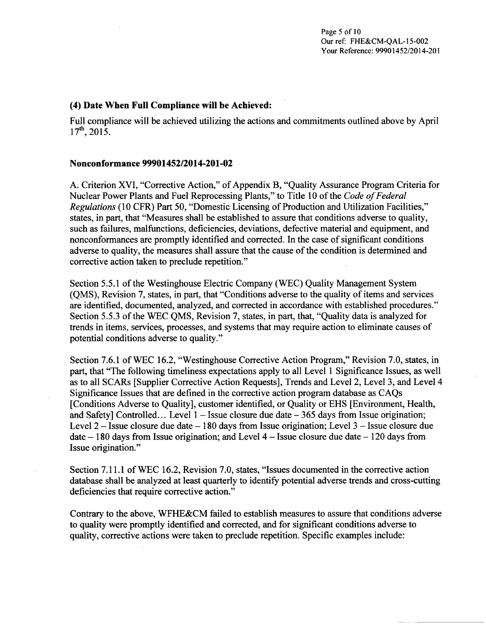#### (4) Date When Full Compliance will be Achieved:

Full compliance will be achieved utilizing the actions and commitments outlined above by April  $17^{th}$ , 2015.

#### Nonconformance 99901452/2014-201-02

A. Criterion XVI, "Corrective Action," of Appendix B, "Quality Assurance Program Criteria for Nuclear Power Plants and Fuel Reprocessing Plants," to Title 10 of the *Code of Federal Regulations* (10 CFR) Part 50, "Domestic Licensing of Production and Utilization Facilities," states, in part, that "Measures shall be established to assure that conditions adverse to quality, such as failures, malfunctions, deficiencies, deviations, defective material and equipment, and nonconformances are promptly identified and corrected. In the case of significant conditions adverse to quality, the measures shall assure that the cause of the condition is determined and corrective action taken to preclude repetition."

Section 5.5.1 of the Westinghouse Electric Company (WEC) Quality Management System (QMS), Revision 7, states, in part, that "Conditions adverse to the quality of items and services are identified, documented, analyzed, and corrected in accordance with established procedures." Section 5.5.3 of the WEC QMS, Revision 7, states, in part, that, "Quality data is analyzed for trends in items, services, processes, and systems that may require action to eliminate causes of potential conditions adverse to quality."

Section 7.6.1 of WEC 16.2, "Westinghouse Corrective Action Program," Revision 7.0, states, in part, that "The following timeliness expectations apply to all Level **I** Significance Issues, as well as to all SCARs [Supplier Corrective Action Requests], Trends and Level 2, Level 3, and Level 4 Significance Issues that are defined in the corrective action program database as CAQs [Conditions Adverse to Quality], customer identified, or Quality or EHS [Environment, Health, and Safetyl Controlled... Level  $1 -$  Issue closure due date  $-365$  days from Issue origination; Level  $2 -$  Issue closure due date  $-180$  days from Issue origination; Level  $3 -$  Issue closure due date - 180 days from Issue origination; and Level 4 **-** Issue closure due date - 120 days from Issue origination."

Section 7.11.1 of WEC 16.2, Revision 7.0, states, "Issues documented in the corrective action database shall be analyzed at least quarterly to identify potential adverse trends and cross-cutting deficiencies that require corrective action."

Contrary to the above, WFHE&CM failed to establish measures to assure that conditions adverse to quality were promptly identified and corrected, and for significant conditions adverse to quality, corrective actions were taken to preclude repetition. Specific examples include: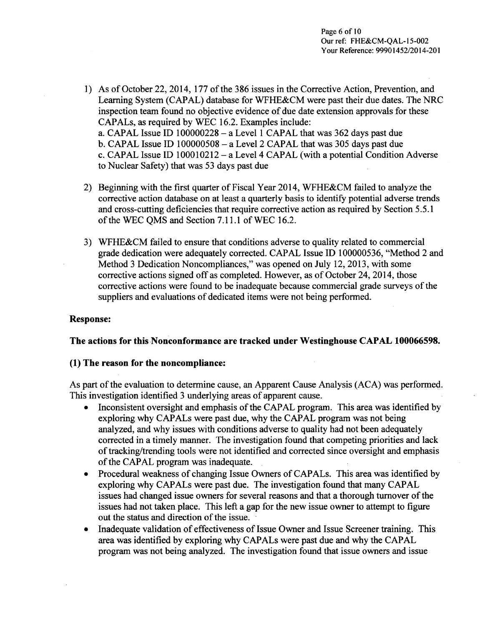- 1) As of October 22, 2014, 177 of the 386 issues in the Corrective Action, Prevention, and Learning System (CAPAL) database for WFHE&CM were past their due dates. The NRC inspection team found no objective evidence of due date extension approvals for these CAPALs, as required by WEC 16.2. Examples include: a. CAPAL Issue ID 100000228 - a Level 1 CAPAL that was 362 days past due b. CAPAL Issue ID  $100000508 - a$  Level 2 CAPAL that was 305 days past due c. CAPAL Issue ID 100010212 - a Level 4 CAPAL (with a potential Condition Adverse to Nuclear Safety) that was 53 days past due
- 2) Beginning with the first quarter of Fiscal Year 2014, WFHE&CM failed to analyze the corrective action database on at least a quarterly basis to identify potential adverse trends and cross-cutting deficiencies that require corrective action as required by Section 5.5.1 of the WEC QMS and Section 7.11.1 of WEC 16.2.
- 3) WFHE&CM failed to ensure that conditions adverse to quality related to commercial grade dedication were adequately corrected. CAPAL Issue ID 100000536, "Method 2 and Method 3 Dedication Noncompliances," was opened on July 12, 2013, with some corrective actions signed off as completed. However, as of October 24, 2014, those corrective actions were found to be inadequate because commercial grade surveys of the suppliers and evaluations of dedicated items were not being performed.

# Response:

## The actions for this Nonconformance are tracked under Westinghouse **CAPAL 100066598.**

## **(1)** The reason for the noncompliance:

As part of the evaluation to determine cause, an Apparent Cause Analysis (ACA) was performed. This investigation identified 3 underlying areas of apparent cause.

- Inconsistent oversight and emphasis of the CAPAL program. This area was identified by exploring why CAPALs were past due, why the CAPAL program was not being analyzed, and why issues with conditions adverse to quality had not been adequately corrected in a timely manner. The investigation found that competing priorities and lack of tracking/trending tools were not identified and corrected since oversight and emphasis of the CAPAL program was inadequate.
- Procedural weakness of changing Issue Owners of CAPALs. This area was identified by exploring why CAPALs were past due. The investigation found that many CAPAL issues had changed issue owners for several reasons and that a thorough turnover of the issues had not taken place. This left a gap for the new issue owner to attempt to figure out the status and direction of the issue.
- Inadequate validation of effectiveness of Issue Owner and Issue Screener training. This area was identified by exploring why CAPALs were past due and why the CAPAL program was not being analyzed. The investigation found that issue owners and issue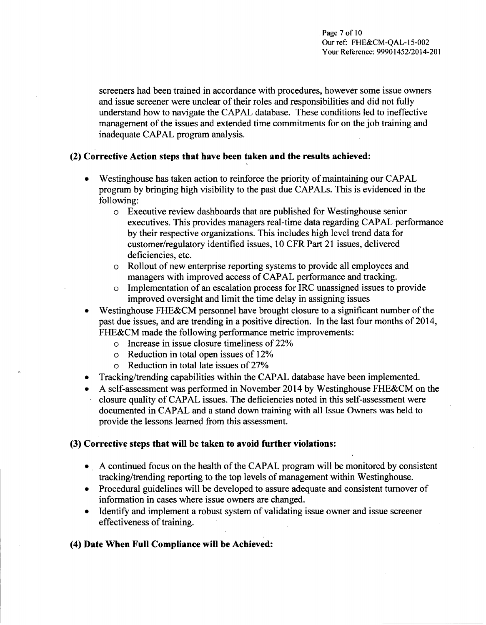screeners had been trained in accordance with procedures, however some issue owners and issue screener were unclear of their roles and responsibilities and did not fully understand how to navigate the CAPAL database. These conditions led to ineffective management of the issues and extended time commitments for on the job training and inadequate CAPAL program analysis.

## (2) Corrective Action steps that have been taken and the results achieved:

- **"** Westinghouse has taken action to reinforce the priority of maintaining our CAPAL program by bringing high visibility to the past due CAPALs. This is evidenced in the following:
	- o Executive review dashboards that are published for Westinghouse senior executives. This provides managers real-time data regarding CAPAL performance by their respective organizations. This includes high level trend data for customer/regulatory identified issues, 10 CFR Part 21 issues, delivered deficiencies, etc.
	- o Rollout of new enterprise reporting systems to provide all employees and managers with improved access of CAPAL performance and tracking.
	- o Implementation of an escalation process for IRC unassigned issues to provide improved oversight and limit the time delay in assigning issues
- Westinghouse FHE&CM personnel have brought closure to a significant number of the past due issues, and are trending in a positive direction. In the last four months of 2014, FHE&CM made the following performance metric improvements:
	- o Increase in issue closure timeliness of 22%
	- o Reduction in total open issues of 12%
	- o Reduction in total late issues of 27%
- Tracking/trending capabilities within the CAPAL database have been implemented.
- A self-assessment was performed in November 2014 by Westinghouse FHE&CM on the closure quality of CAPAL issues. The deficiencies noted in this self-assessment were documented in CAPAL and a stand down training with all Issue Owners was held to provide the lessons learned from this assessment.

# **(3)** Corrective steps that will be taken to avoid further violations:

- **\* A** continued focus on the health of the CAPAL program will be monitored by consistent tracking/trending reporting to the top levels of management within Westinghouse.
- Procedural guidelines will be developed to assure adequate and consistent turnover of information in cases where issue owners are changed.
- Identify and implement a robust system of validating issue owner and issue screener effectiveness of training.

# (4) Date When Full Compliance will be Achieved: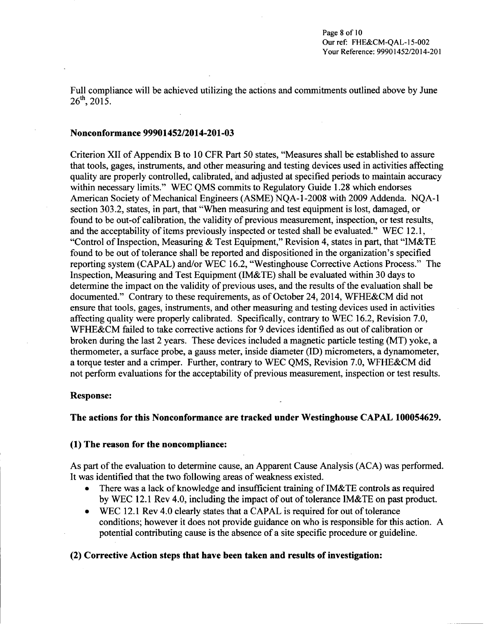Full compliance will be achieved utilizing the actions and commitments outlined above by June 26<sup>th</sup>, 2015.

#### Nonconformance 99901452/2014-201-03

Criterion XII of Appendix B to 10 CFR Part 50 states, "Measures shall be established to assure that tools, gages, instruments, and other measuring and testing devices used in activities affecting quality are properly controlled, calibrated, and adjusted at specified periods to maintain accuracy within necessary limits." WEC QMS commits to Regulatory Guide 1.28 which endorses American Society of Mechanical Engineers (ASME) NQA-1-2008 with 2009 Addenda. NQA- 1 section 303.2, states, in part, that "When measuring and test equipment is lost, damaged, or found to be out-of calibration, the validity of previous measurement, inspection, or test results, and the acceptability of items previously inspected or tested shall be evaluated." WEC 12. **1,** "Control of Inspection, Measuring & Test Equipment," Revision 4, states in part, that "IM&TE found to be out of tolerance shall be reported and dispositioned in the organization's specified reporting system (CAPAL) and/or WEC 16.2, "Westinghouse Corrective Actions Process." The Inspection, Measuring and Test Equipment (IM&TE) shall be evaluated within 30 days to determine the impact on the validity of previous uses, and the results of the evaluation shall be documented." Contrary to these requirements, as of October 24, 2014, WFHE&CM did not ensure that tools, gages, instruments, and other measuring and testing devices used in activities affecting quality were properly calibrated. Specifically, contrary to WEC 16.2, Revision 7.0, WFHE&CM failed to take corrective actions for 9 devices identified as out of calibration or broken during the last 2 years. These devices included a magnetic particle testing (MT) yoke, a thermometer, a surface probe, a gauss meter, inside diameter (ID) micrometers, a dynamometer, a torque tester and a crimper. Further, contrary to WEC QMS, Revision 7.0, WFHE&CM did not perform evaluations for the acceptability of previous measurement, inspection or test results.

#### Response:

#### The actions for this Nonconformance are tracked under Westinghouse **CAPAL** 100054629.

#### **(1)** The reason for the noncompliance:

As part of the evaluation to determine cause, an Apparent Cause Analysis (ACA) was performed. It was identified that the two following areas of weakness existed.

- There was a lack of knowledge and insufficient training of IM&TE controls as required by WEC 12.1 Rev 4.0, including the impact of out of tolerance IM&TE on past product.
- WEC 12.1 Rev 4.0 clearly states that a CAPAL is required for out of tolerance conditions; however it does not provide guidance on who is responsible for this action. A potential contributing cause is the absence of a site specific procedure or guideline.

#### (2) Corrective Action steps that have been taken and results of investigation: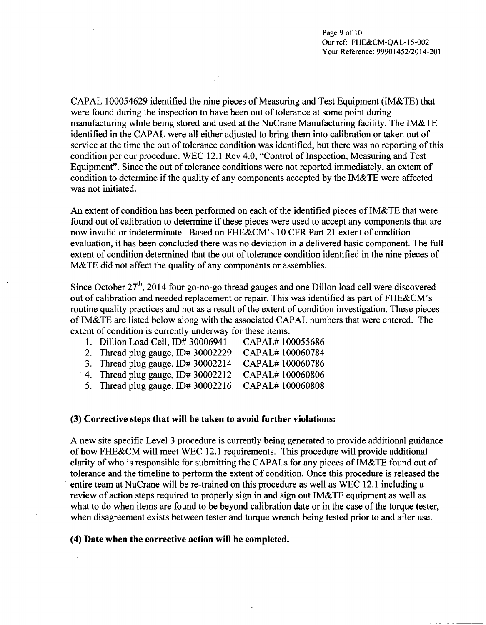CAPAL 100054629 identified the nine pieces of Measuring and Test Equipment (IM&TE) that were found during the inspection to have been out of tolerance at some point during manufacturing while being stored and used at the NuCrane Manufacturing facility. The IM&TE identified in the CAPAL were all either adjusted to bring them into calibration or taken out of service at the time the out of tolerance condition was identified, but there was no reporting of this condition per our procedure, WEC 12.1 Rev 4.0, "Control of Inspection, Measuring and Test Equipment". Since the out of tolerance conditions were not reported immediately, an extent of condition to determine if the quality of any components accepted by the IM&TE were affected was not initiated.

An extent of condition has been performed on each of the identified pieces of IM&TE that were found out of calibration to determine if these pieces were used to accept any components that are now invalid or indeterminate. Based on FHE&CM's 10 CFR Part 21 extent of condition evaluation, it has been concluded there was no deviation in a delivered basic component. The full extent of condition determined that the out of tolerance condition identified in the nine pieces of M&TE did not affect the quality of any components or assemblies.

Since October  $27<sup>th</sup>$ , 2014 four go-no-go thread gauges and one Dillon load cell were discovered out of calibration and needed replacement or repair. This was identified as part of FHE&CM's routine quality practices and not as a result of the extent of condition investigation. These pieces of IM&TE are listed below along with the associated CAPAL numbers that were entered. The extent of condition is currently underway for these items.

| 1. Dillion Load Cell, ID# 30006941   | CAPAL#100055686 |
|--------------------------------------|-----------------|
| 2. Thread plug gauge, $ID# 30002229$ | CAPAL#100060784 |
| $3$ Thread plug gauge ID# 30002214   | CAPAL#100060786 |

- $\frac{1}{2}$  aread plug gauge,  $1D\# 30002214$ 4. Thread plug gauge, ID# 30002212 CAPAL# 100060806
- 5. Thread plug gauge, ID# 30002216 CAPAL# 100060808

### **(3)** Corrective steps that will be taken to avoid further violations:

**A** new site specific Level 3 procedure is currently being generated to provide additional guidance of how **FHE&CM** will meet WEC 12.1 requirements. This procedure will provide additional clarity of who is responsible for submitting the CAPALs for any pieces of IM&TE found out of tolerance and the timeline to perform the extent of condition. Once this procedure is released the entire team at NuCrane will be re-trained on this procedure as well as WEC 12.1 including a review of action steps required to properly sign in and sign out IM&TE equipment as well as what to do when items are found to be beyond calibration date or in the case of the torque tester, when disagreement exists between tester and torque wrench being tested prior to and after use.

### (4) Date when the corrective action will be completed.